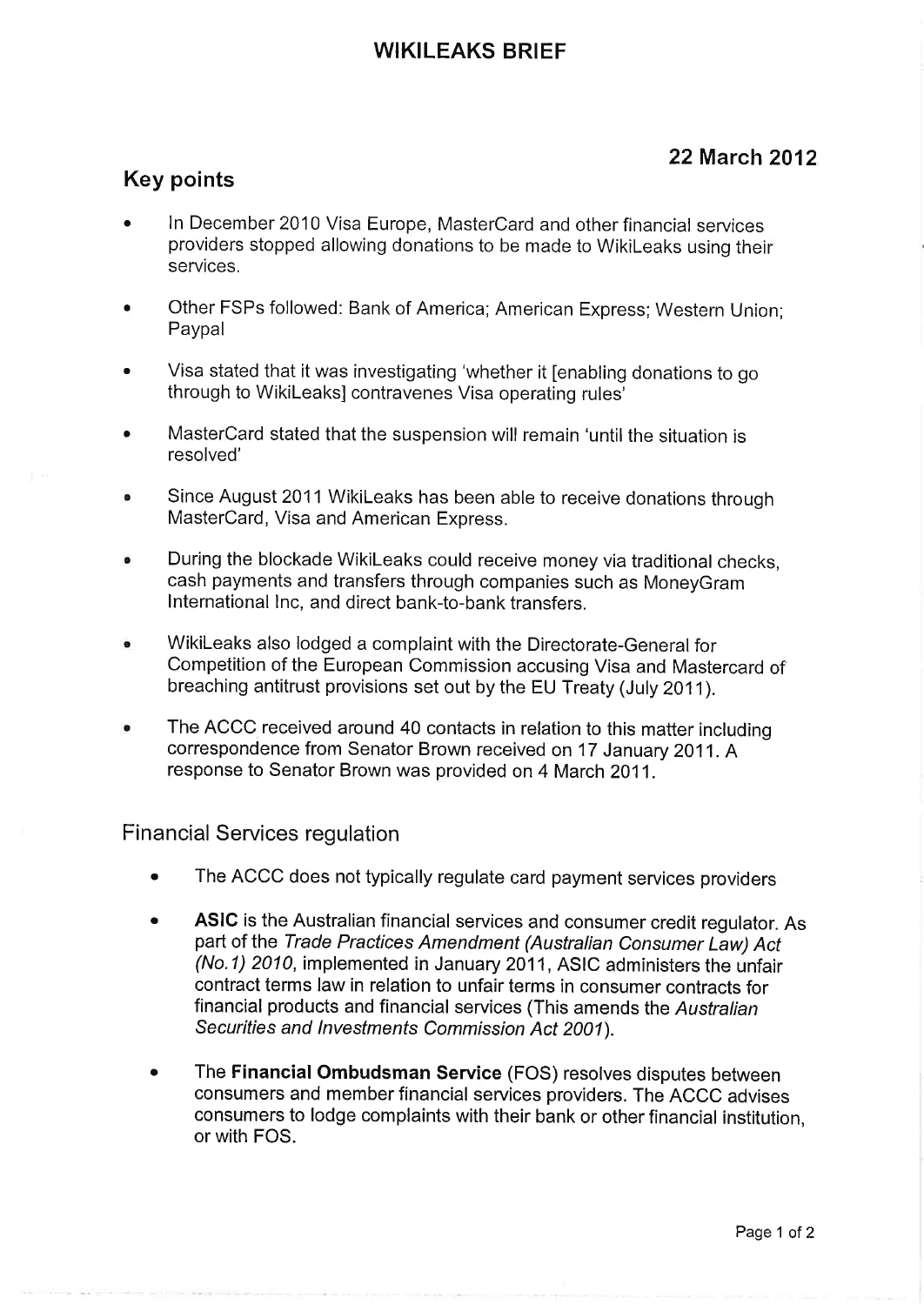# WIKILEAKS BRIEF

# 22 March 2012

### Key points

- . In December 2010 Visa Europe, MasterCard and other financial seryices providers stopped allowing donations to be made to Wikileaks using their services,
- Other FSPs followed: Bank of America; American Express; Western Union; Paypal
- . Visa stated that it was investigating 'whether it [enabling donations to go through to Wikileaksl contravenes Visa operating rules'
- . MasterCard stated that the suspension will remain 'until the situation is resolved'
- Since August 2011 Wikileaks has been able to receive donations through MasterCard, Visa and American Express.
- During the blockade Wikileaks could receive money via traditional checks,  $\ddot{\bullet}$ cash payments and transfers through companies such as MoneyGram International Inc, and direct bank-to-bank transfers.
- wikileaks also lodged a complaint with the Directorate-General for  $\bullet$ Competition of the European Commission accusing Visa and Mastercard of breaching antitrust provisions set out by the EU Treaty (July 2011).
- The ACCC received around 40 contacts in relation to this matter including  $\bullet$ correspondence from Senator Brown received on 17 January 2011. A response to Senator Brown was provided on 4 March 2011.

#### Financial Services regulation

- . The ACCC does not typically regulate card payment services providers
- . ASIC is the Australian financial services and consumer credit regulator. As part of the Trade Practices Amendment (Australian Consumer Law) Act (No.1) 2010, implemented in January 2011, ASIC administers the unfair contract terms law in relation to unfair terms in consumer contracts for financial products and financial services (This amends the Australian Securities and Investments Commission Act 2001).
- . The Financial Ombudsman Service (FOS) resolves disputes between consumers and member fínancial services providers. The ACCC advises consumers to lodge complaints with their bank or other financial institution. or with FOS.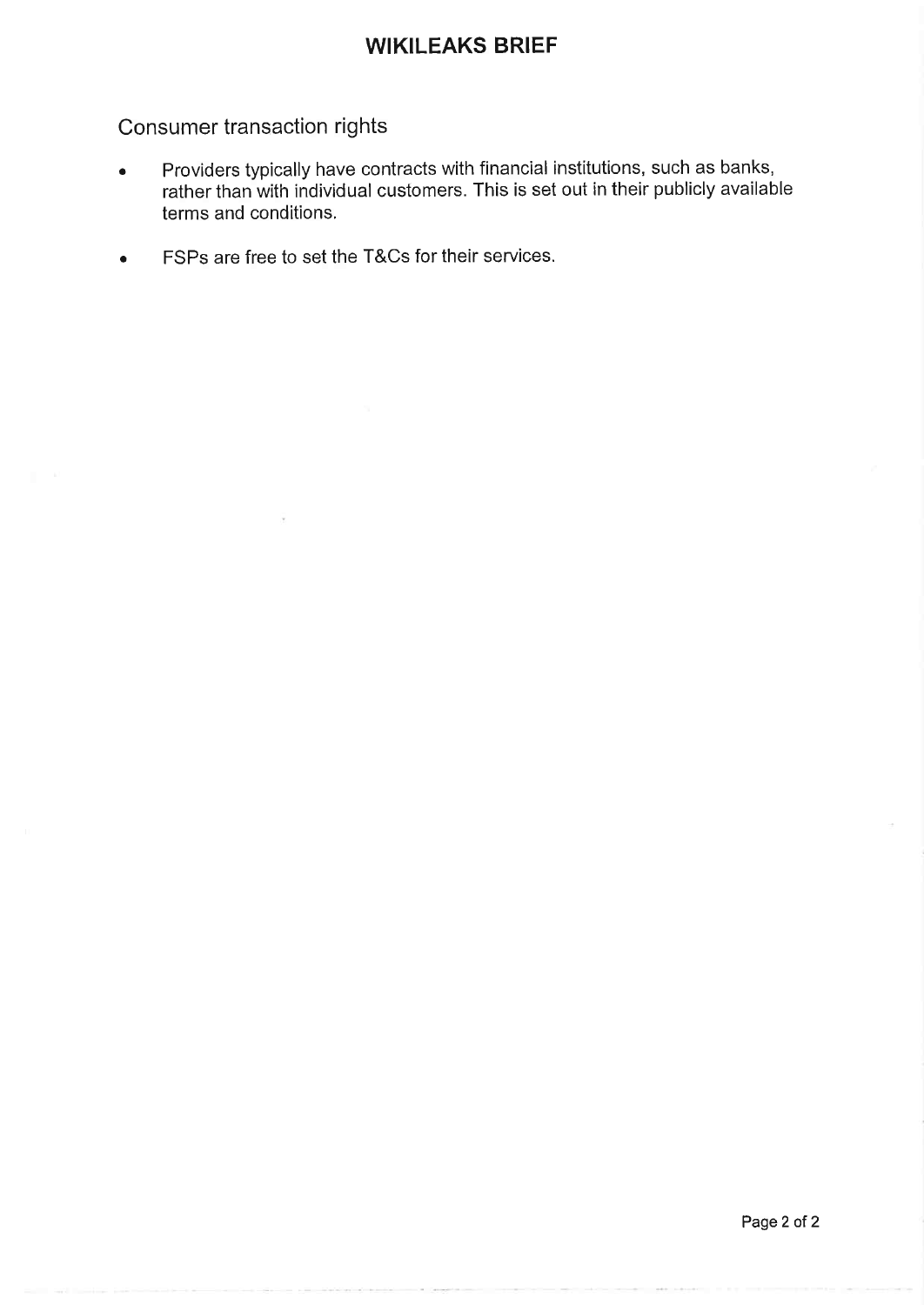## WIKILEAKS BRIEF

# Consumer transaction rights

- . Providers typically have contracts with financial institutions, such as banks, rather than with individual customers. This is set out in their publicly available terms and conditions.
- o FSPs are free to set the T&Cs for their seryices.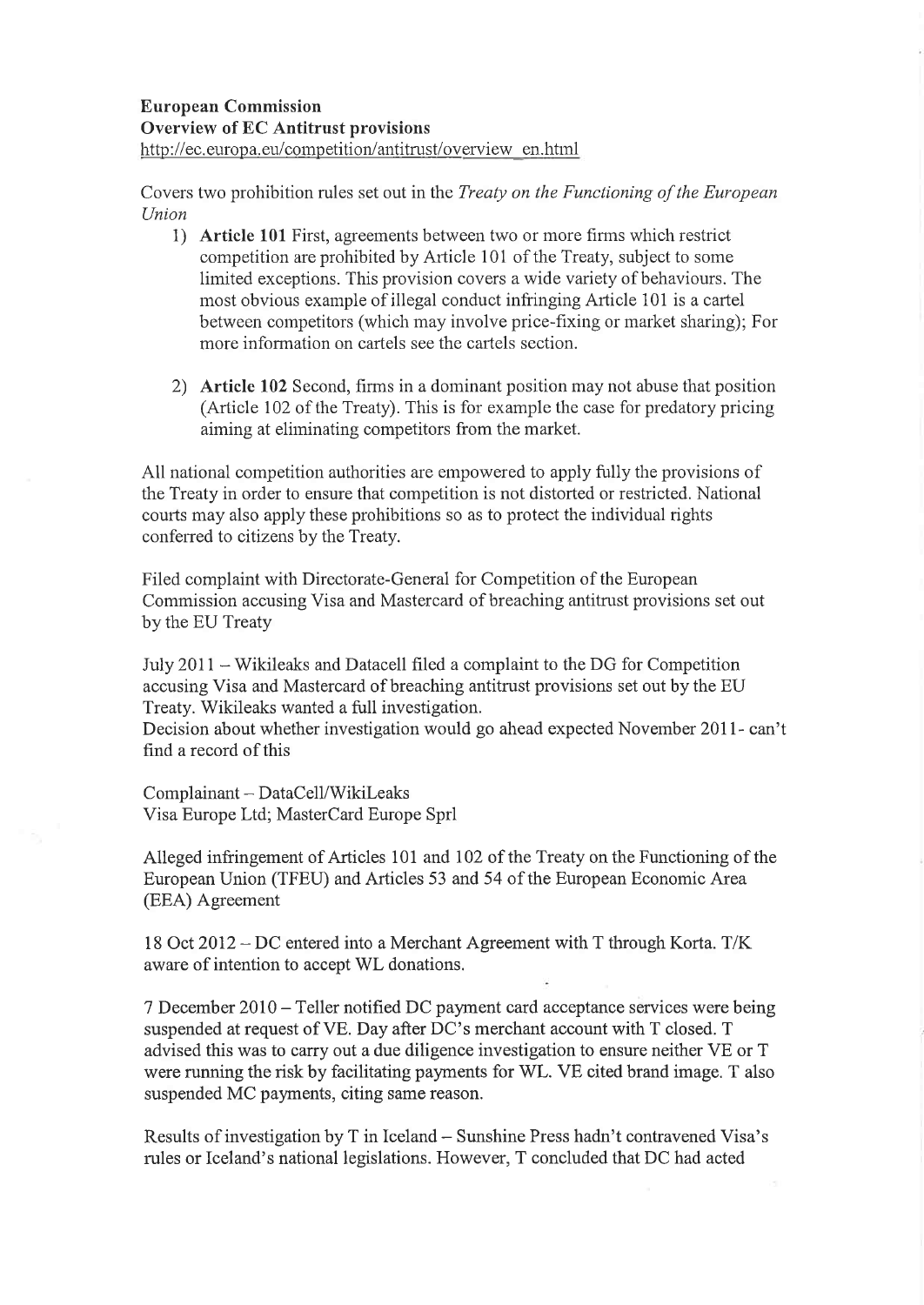#### European Commission Overview of EC Antitrust provisions http://ec.europa.eu/competition/antitrust/overview en.html

Covers two prohibition rules set out in the Treaty on the Functioning of the European Union

- 1) Article 101 First, agreements between two or more firms which restrict competition are prohibited by Arlicle 101 of the Treaty, subject to some limited exceptions. This provision covers a wide variety of behaviours. The most obvious example of illegal conduct infringing Article 101 is a cartel between competitors (which may involve price-fixing or market sharing); For more information on cartels see the cartels section.
- 2) Article 102 Second, firms in a dominant position may not abuse that position (Article 102 of the Treaty). This is for example the case for predatory pricing aiming at elirninating competitors from the market.

All national competition authorities are empowered to apply fully the provisions of the Treaty in order to ensure that competition is not distorted or restricted. National courts may also apply these prohibitions so as to protect the individual rights confered to citizens by the Treaty.

Filed complaint with Directorate-General for Competition of the European Commission accusing Visa and Mastercard of breaching antitrust provisions set out by the EU Treaty

July  $2011 - Wikileaks$  and Datacell filed a complaint to the DG for Competition accusing Visa and Mastercard of breaching antitrust provisions set out by the EU Treaty. Wikileaks wanted a full investigation.

Decision about whether investigation would go ahead expected November 20II- can't find a record of this

Complainant - DataCell/Wikileaks Visa EuropeLtd; MasterCard Europe Sprl

Alleged infringement of Articles 101 and 102 of the Treaty on the Functioning of the European Union (TFEU) and Articles 53 and 54 of the European Economic Area (EEA) Agreement

<sup>18</sup>Oct 2012 - DC entered into a Merchant Agreement with T through Korta. T/K aware of intention to accept WL donations.

<sup>7</sup>December 2010 - Teller notified DC payment card acceptance services were being suspended at request of VE. Day after DC's merchant account with T closed. T advised this was to carry out a due diligence investigation to ensure neither VE or T were running the risk by facilitating payments for WL. VE cited brand image. T also suspended MC payments, citing same reason.

Results of investigation by T in Iceland - Sunshine Press hadn't contravened Visa's rules or Iceland's national legislations. However, T concluded that DC had acted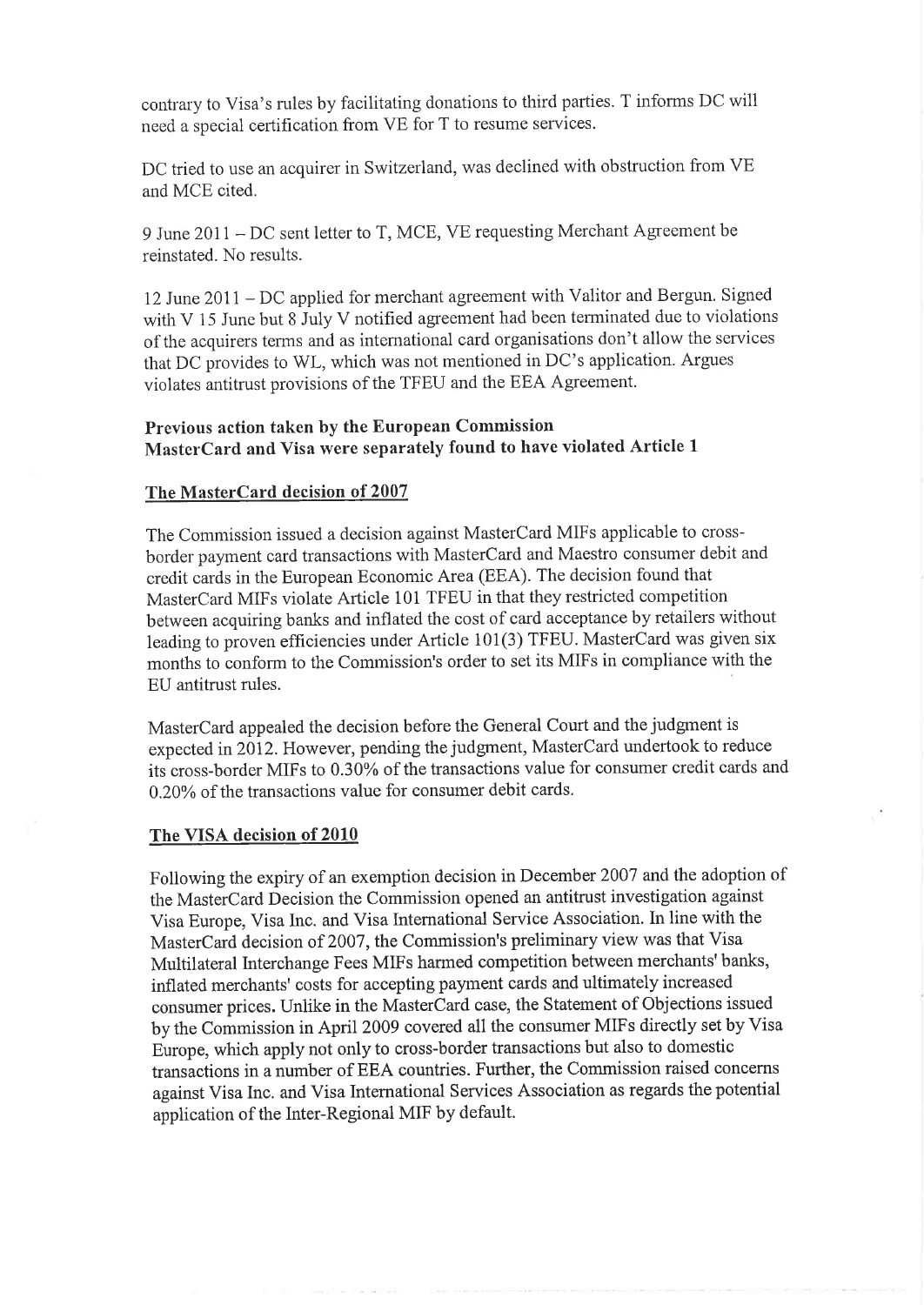contrary to Visa's rules by facilitating donations to third parties. T informs DC will need a special certification from VE for T to resume services.

DC tried to use an acquirer in Switzerland, was declined with obstruction from VE and MCE cited.

9 June 20Il - DC sent letter to T, MCE, VE requesting Merchant Agreement be reinstated. No results.

l2 June 201I - DC applied for merchant agreement with Valitor and Bergun. Signed with V 15 June but 8 July V notified agreement had been terminated due to violations of the acquirers terms and as intemational card organisations don't allow the services that DC provides to WL, which was not mentioned in DC's application. Argues violates antitrust provisions of the TFEU and the EEA Agreement.

#### Previous action taken by the European Commission MasterCard and Visa were separately found to have violated Article <sup>1</sup>

#### The MasterCard decision of 2007

The Commission issued a decision against MasterCard MIFs applicable to crossborder payment card transactions with MasterCard and Maestro consumer debit and credit cards in the European Economic Area (EEA). The decision found that MasterCard MIFs violate Article 101 TFEU in that they restricted competition between acquiring banks and inflated the cost of card acceptance by retailers without leading to proven efficiencies under Article 101(3) TFEU. MasterCard was given six months to conform to the Commission's order to set its MIFs in compliance with the EU antitrust rules.

MasterCard appealed the decision before the General Court and the judgment is expected in 2012. However, pending the judgment, MasterCard undertook to reduce its cross-border MIFs to 0.30% of the transactions value for consumer credit cards and 0.20% of the transactions value for consumer debit cards.

#### The VISA decision of 2010

Following the expiry of an exemption decision in December 2007 and the adoption of the MasterCard Decision the Commission opened an antitrust investigation against Visa Europe, Visa Inc. and Visa International Service Association. In line with the MasterCard decision of 2007, the Commission's preliminary view was that Visa Multilateral Interchange Fees MIFs harmed competition between merchants'banks, inflated merchants' costs for accepting payment cards and ultimately increased consumer prices. Unlike in the MasterCard case, the Statement of Objections issued by the Commission in April 2009 covered all the consumer MIFs directly set by Visa Europe, which apply not only to cross-border transactions but also to domestic transactions in a number of EEA countries. Further, the Commission raised concerns against Visa Inc. and Visa International Services Association as regards the potential application of the Inter-Regional MIF by default.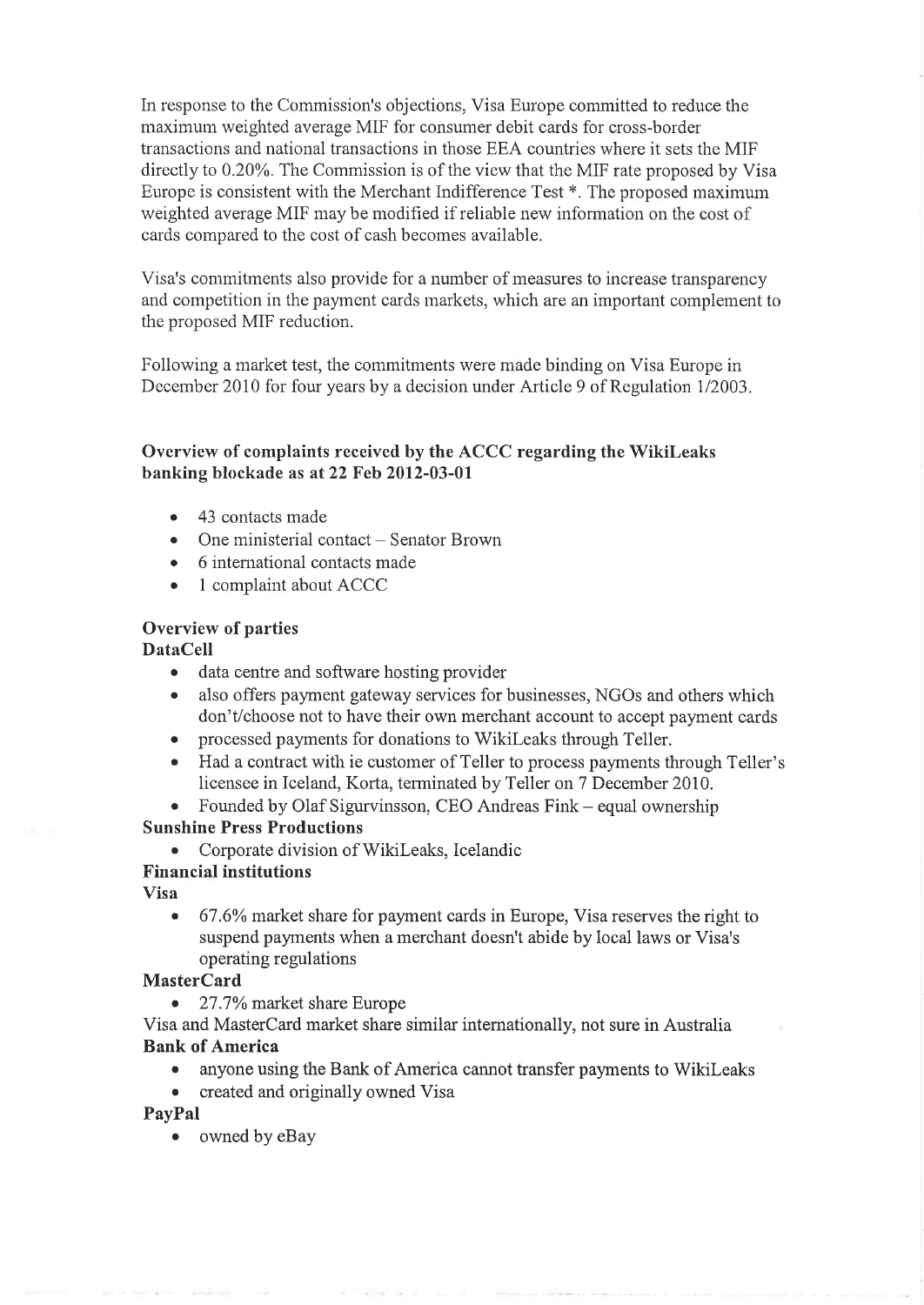In response to the Commission's objections, Visa Europe committed to reduce the maximum weighted average MIF for consumer debit cards for cross-border transactions and national transactions in those EEA countries where it sets the MIF directly to 0.20Yo. The Commission is of the view that the MIF rate proposed by Visa Europe is consistent with the Merchant Indifference Test \*. The proposed maximum weighted average MIF may be modified if reliable new information on the cost of cards compared to the cost of cash becomes available.

Visa's cornmitments also provide for a number of measures to increase transparency and competition in the payment cards markets, which are an important complement to the proposed MIF reduction.

Following a market test, the commitments were made binding on Visa Europe in December 2010 for four years bv a decision under Article 9 of Rezulation 1/2003.

#### Overview of complaints received by the ACCC regarding the Wikileaks banking blockade as at 22 Feb 2012-03-01

- 43 contacts made
- One ministerial contact Senator Brown
- 6 international contacts made
- 1 complaint about ACCC

#### Overview of parties

#### DataCell

- data centre and software hosting provider
- . also offers payment gateway services for businesses, NGOs and others which don't/choose not to have their own merchant account to accept payment cards
- processed payments for donations to WikiLeaks through Teller.
- . Had a contract with ie customer of Teller to process payments through Teller's licensee in lceland, Korta, terminated by Teller on 7 December 2010.
- Founded by Olaf Sigurvinsson, CEO Andreas Fink equal ownership

#### Sunshine Press Productions

. Corporate division of Wikileaks, Icelandic

#### Financial institutions

Visa

 $\bullet$  67.6% market share for payment cards in Europe, Visa reserves the right to suspend payments when a merchant doesn't abide by local laws or Visa's operating regulations

#### MasterCard

• 27.7% market share Europe

#### Visa and MasterCard market share similar internationallv. not sure in Australia Bank of America

- . anyone using the Bank of America cannot transfer payments to Wikileaks
- created and originally owned Visa

#### PayPal

• owned by eBay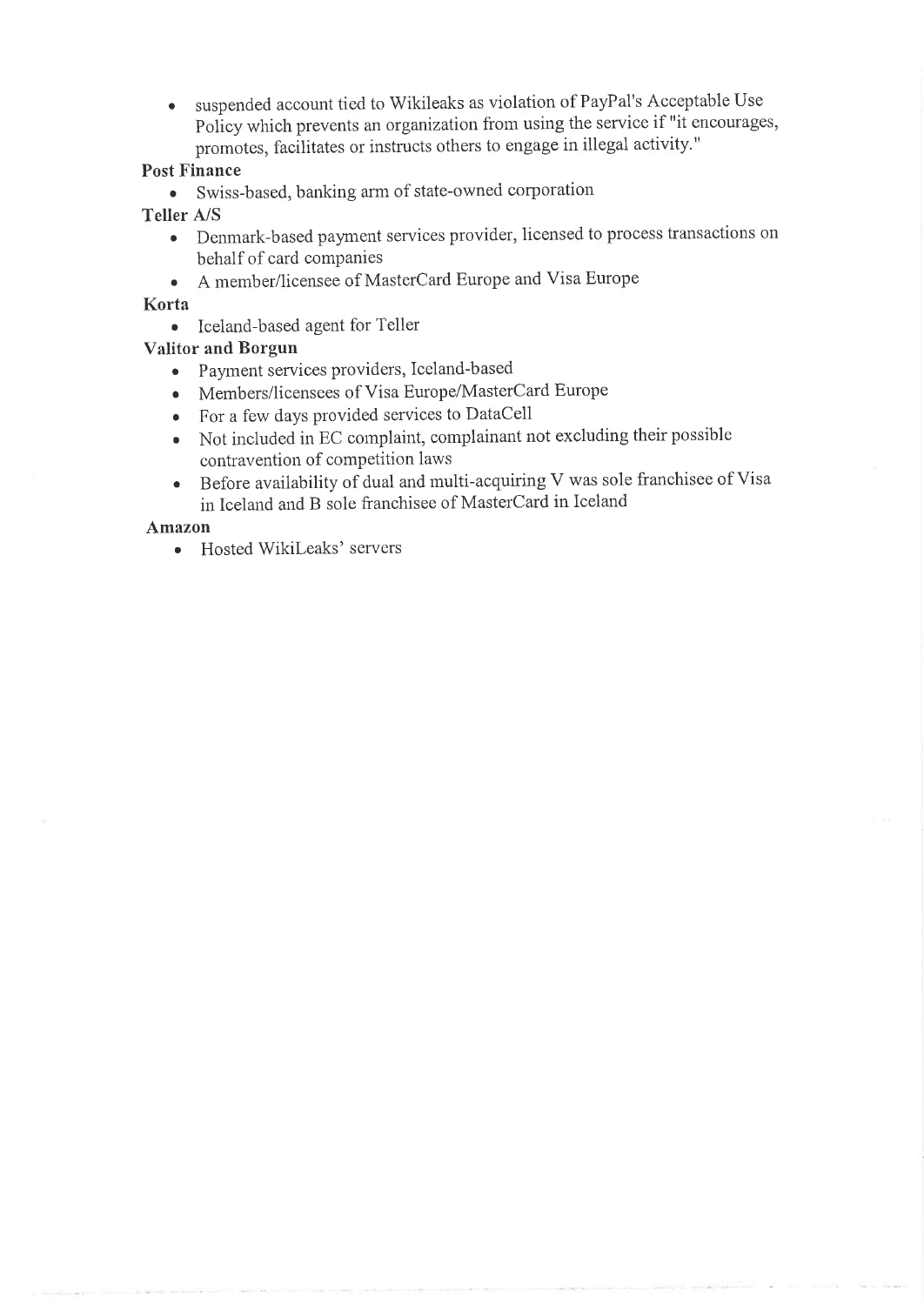. suspended account tied to Wikileaks as violation of PayPal's Acceptable Use Policy which prevents an organization from using the service if "it encourages, promotes, facilitates or instructs others to engage in illegal activity."

#### Post Finance

. Swiss-based, banking ann of state-owned corporation

#### Teller A/S

- . Denmark-based payment services provider, licensed to process transactions on behalf of card companies
- . <sup>A</sup>member/licensee of MasterCard Europe and Visa Europe

#### Korta

. Iceland-based agent for Teller

#### Valitor and Borgun

- o Payment services providers, Iceland-based
- ¡ Members/licensees of Visa Europe/MasterCard Europe
- o For a few days provided services to DataCell
- o Not included in EC cornplaint, complainant not excluding their possible contravention of competition laws
- . Before availability of dual and multi-acquiring V was sole franchisee of Visa in Iceland and B sole franchisee of MasterCard in Iceland

#### Amazon

• Hosted WikiLeaks' servers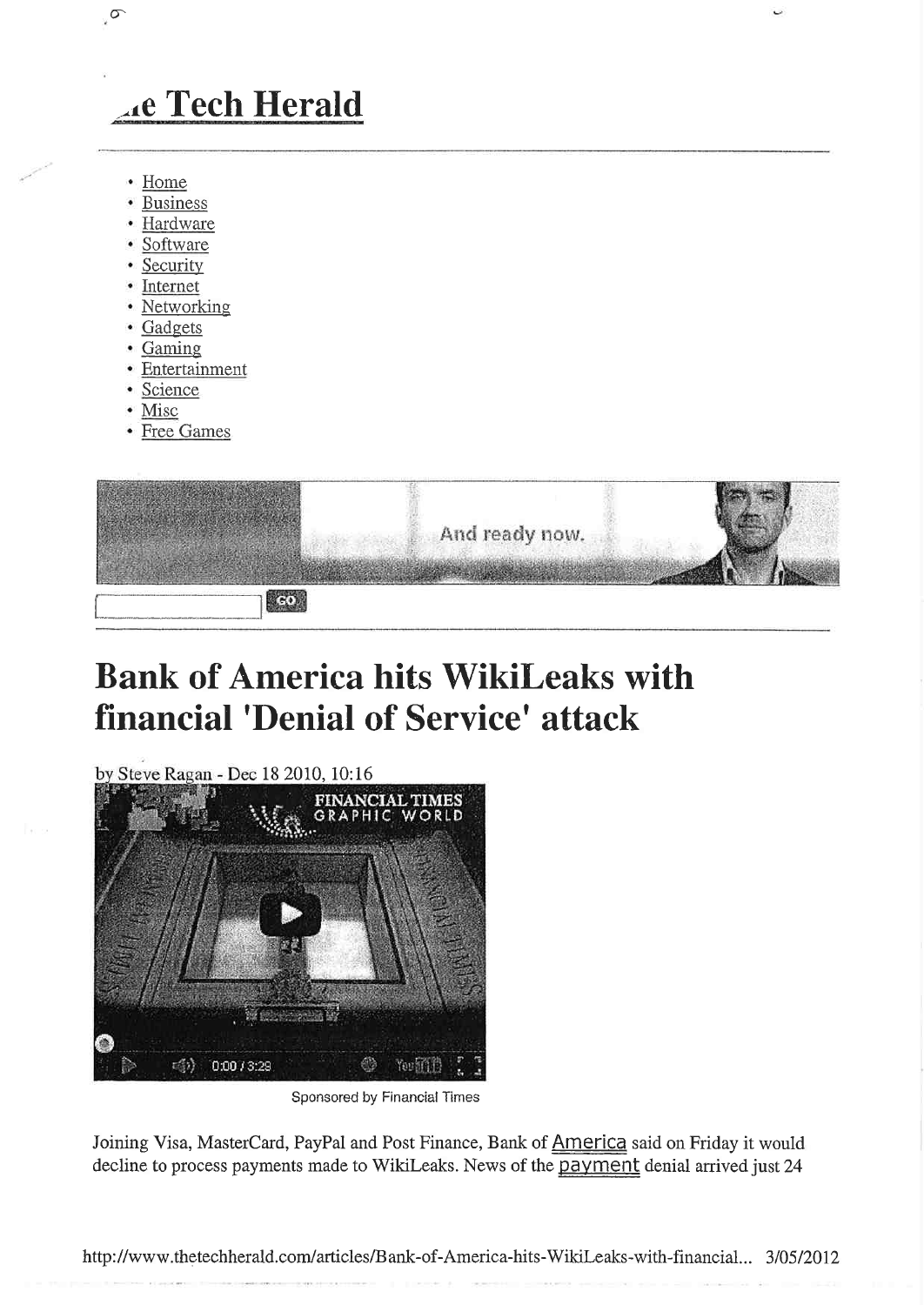# **Ac Tech Herald**

• Home

 $\sigma$ 

- · Business
- · Hardware
- · Software
- Security
- Internet
- · Networking
- Gadgets
- Gaming
- · Entertainment
- · Science
- Misc
- Free Games



# **Bank of America hits WikiLeaks with financial 'Denial of Service' attack**

by Steve Ragan - Dec 18 2010, 10:16 FINANCIAL TIMES<br>GRAPHIC WORLD dii) 0:00 / 3:29 You fifth 63

Sponsored by Financial Times

Joining Visa, MasterCard, PayPal and Post Finance, Bank of America said on Friday it would decline to process payments made to WikiLeaks. News of the payment denial arrived just 24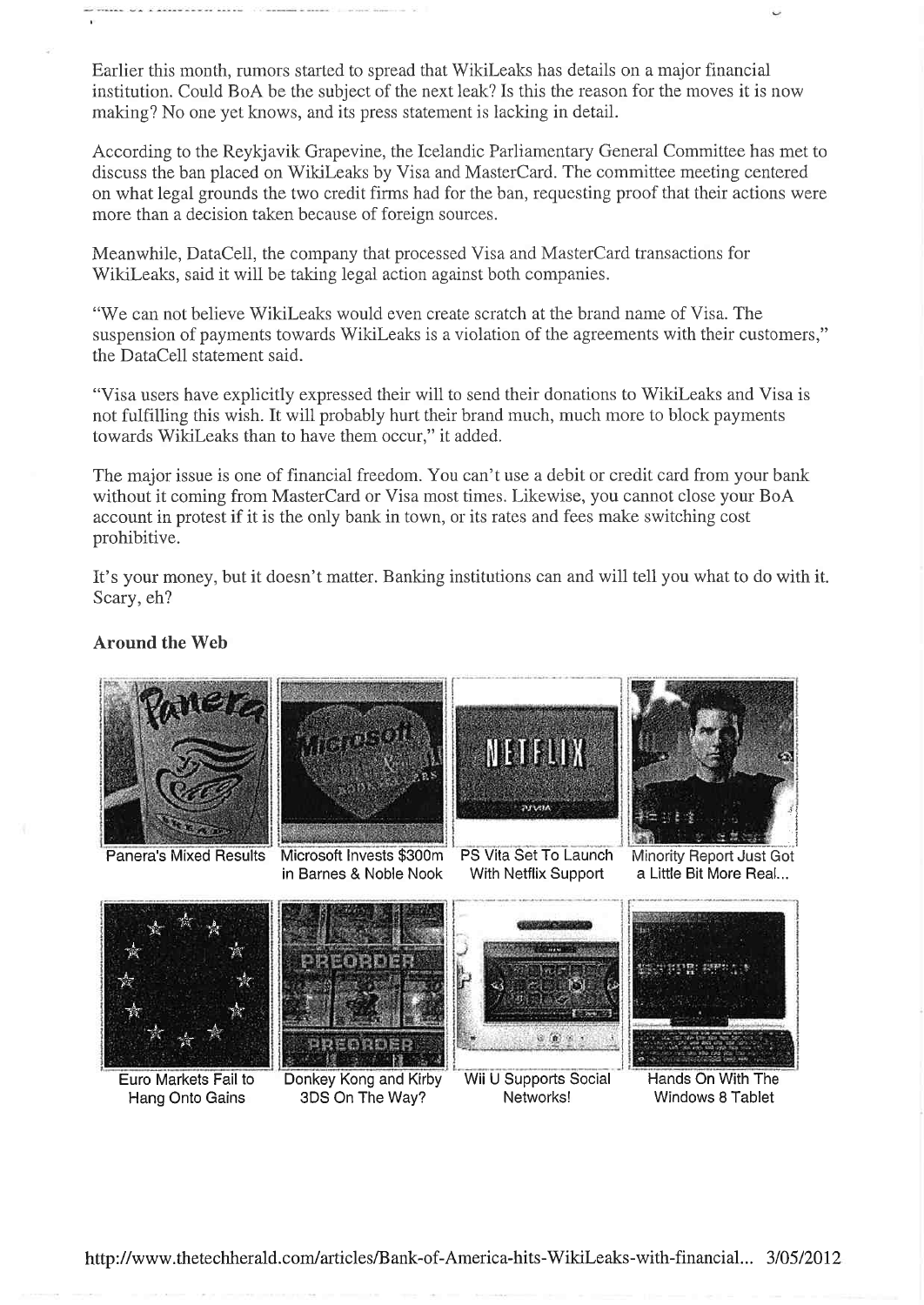Earlier this month, rumors started to spread that WikiLeaks has details on a major financial institution. Could BoA be the subject of the next leak? Is this the reason for the moves it is now making? No one yet knows, and its press statement is lacking in detail.

According to the Reykjavik Grapevine, the Icelandic Parliamentary General Committee has met to discuss the ban placed on WikiLeaks by Visa and MasterCard. The committee meeting centered on what legal grounds the two credit firms had for the ban, requesting proof that their actions were more than a decision taken because of foreign sources.

Meanwhile, DataCell, the company that processed Visa and MasterCard transactions for WikiLeaks, said it will be taking legal action against both companies.

"We can not believe WikiLeaks would even create scratch at the brand name of Visa. The suspension of payments towards WikiLeaks is a violation of the agreements with their customers," the DataCell statement said.

"Visa users have explicitly expressed their will to send their donations to WikiLeaks and Visa is not fulfilling this wish. It will probably hurt their brand much, much more to block payments towards WikiLeaks than to have them occur," it added.

The major issue is one of financial freedom. You can't use a debit or credit card from your bank without it coming from MasterCard or Visa most times. Likewise, you cannot close your BoA account in protest if it is the only bank in town, or its rates and fees make switching cost prohibitive.

It's your money, but it doesn't matter. Banking institutions can and will tell you what to do with it. Scary, eh?

#### **Around the Web**

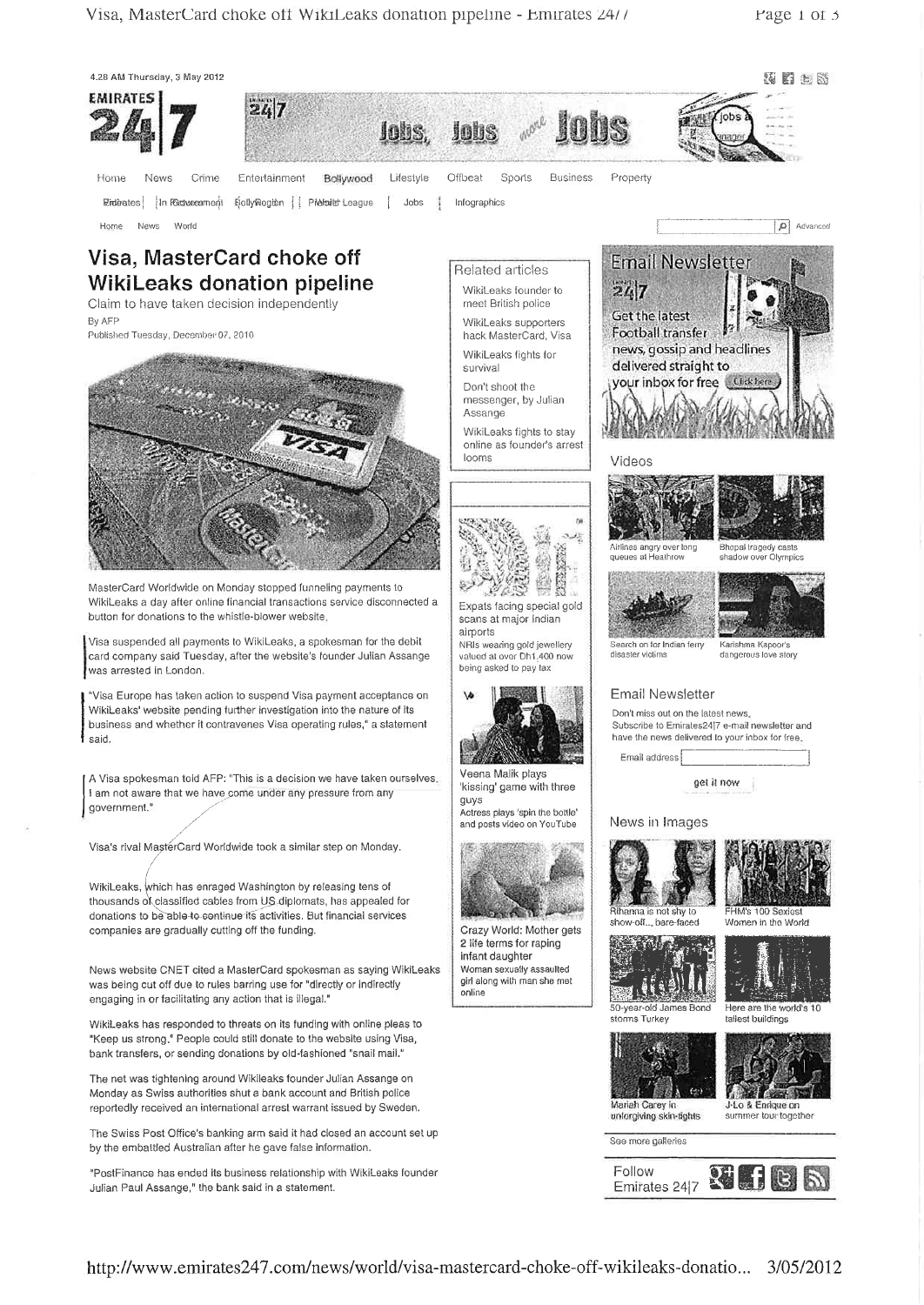